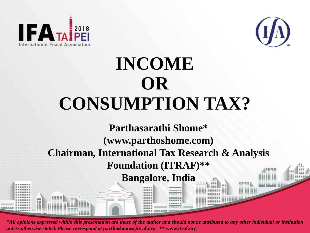



# **INCOME OR CONSUMPTION TAX?**

**Parthasarathi Shome\* (www.parthoshome.com) Chairman, International Tax Research & Analysis Foundation (ITRAF)\*\* Bangalore, India**

\*All opinions expressed within this presentation are those of the author and should not be attributed to any other individual or institution *unless otherwise stated. Please correspond at* **parthoshome@itraf.org. \*\* www.itraf.org**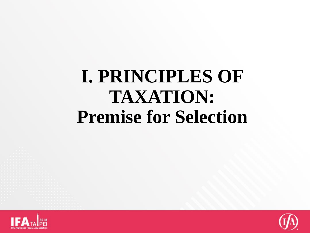# **I. PRINCIPLES OF TAXATION: Premise for Selection**



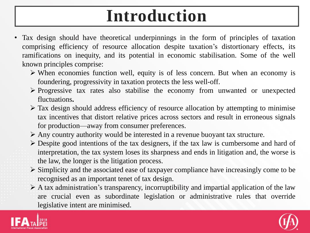## **Introduction**

- Tax design should have theoretical underpinnings in the form of principles of taxation comprising efficiency of resource allocation despite taxation's distortionary effects, its ramifications on inequity, and its potential in economic stabilisation. Some of the well known principles comprise:
	- $\triangleright$  When economies function well, equity is of less concern. But when an economy is foundering, progressivity in taxation protects the less well-off.
	- $\triangleright$  Progressive tax rates also stabilise the economy from unwanted or unexpected fluctuations**.**
	- $\triangleright$  Tax design should address efficiency of resource allocation by attempting to minimise tax incentives that distort relative prices across sectors and result in erroneous signals for production—away from consumer preferences.
	- Any country authority would be interested in a revenue buoyant tax structure.
	- $\triangleright$  Despite good intentions of the tax designers, if the tax law is cumbersome and hard of interpretation, the tax system loses its sharpness and ends in litigation and, the worse is the law, the longer is the litigation process.
	- $\triangleright$  Simplicity and the associated ease of taxpayer compliance have increasingly come to be recognised as an important tenet of tax design.
	- $\triangleright$  A tax administration's transparency, incorruptibility and impartial application of the law are crucial even as subordinate legislation or administrative rules that override legislative intent are minimised.



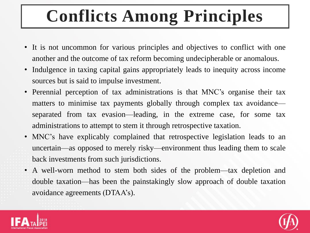# **Conflicts Among Principles**

- It is not uncommon for various principles and objectives to conflict with one another and the outcome of tax reform becoming undecipherable or anomalous.
- Indulgence in taxing capital gains appropriately leads to inequity across income sources but is said to impulse investment.
- Perennial perception of tax administrations is that MNC's organise their tax matters to minimise tax payments globally through complex tax avoidance separated from tax evasion—leading, in the extreme case, for some tax administrations to attempt to stem it through retrospective taxation.
- MNC's have explicably complained that retrospective legislation leads to an uncertain—as opposed to merely risky—environment thus leading them to scale back investments from such jurisdictions.
- A well-worn method to stem both sides of the problem—tax depletion and double taxation—has been the painstakingly slow approach of double taxation avoidance agreements (DTAA's).



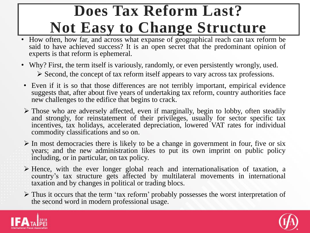#### **Does Tax Reform Last? Not Easy to Change Structure**

- How often, how far, and across what expanse of geographical reach can tax reform be said to have achieved success? It is an open secret that the predominant opinion of experts is that reform is ephemeral.
- Why? First, the term itself is variously, randomly, or even persistently wrongly, used.

 $\triangleright$  Second, the concept of tax reform itself appears to vary across tax professions.

- Even if it is so that those differences are not terribly important, empirical evidence suggests that, after about five years of undertaking tax reform, country authorities face new challenges to the edifice that begins to crack.
- $\triangleright$  Those who are adversely affected, even if marginally, begin to lobby, often steadily and strongly, for reinstatement of their privileges, usually for sector specific tax incentives, tax holidays, accelerated depreciation, lowered VAT rates for individual commodity classifications and so on.
- $\triangleright$  In most democracies there is likely to be a change in government in four, five or six years; and the new administration likes to put its own imprint on public policy including, or in particular, on tax policy.
- $\triangleright$  Hence, with the ever longer global reach and internationalisation of taxation, a country's tax structure gets affected by multilateral movements in international taxation and by changes in political or trading blocs.
- Thus it occurs that the term 'tax reform' probably possesses the worst interpretation of the second word in modern professional usage.



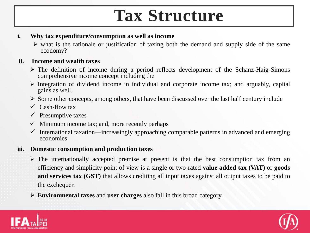# **Tax Structure**

#### **i. Why tax expenditure/consumption as well as income**

 $\triangleright$  what is the rationale or justification of taxing both the demand and supply side of the same economy?

#### **ii. Income and wealth taxes**

- $\triangleright$  The definition of income during a period reflects development of the Schanz-Haig-Simons comprehensive income concept including the
- $\triangleright$  Integration of dividend income in individual and corporate income tax; and arguably, capital gains as well.
- $\triangleright$  Some other concepts, among others, that have been discussed over the last half century include
- $\checkmark$  Cash-flow tax
- $\checkmark$  Presumptive taxes
- $\checkmark$  Minimum income tax; and, more recently perhaps
- $\checkmark$  International taxation—increasingly approaching comparable patterns in advanced and emerging economies

#### **iii. Domestic consumption and production taxes**

- $\triangleright$  The internationally accepted premise at present is that the best consumption tax from an efficiency and simplicity point of view is a single or two-rated **value added tax (VAT)** or **goods and services tax (GST)** that allows crediting all input taxes against all output taxes to be paid to the exchequer.
- **Environmental taxes** and **user charges** also fall in this broad category.



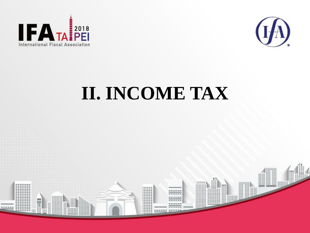



# **II. INCOME TAX**

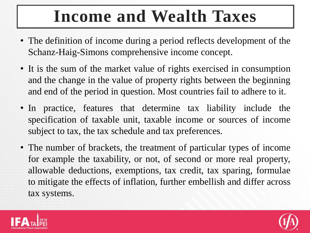## **Income and Wealth Taxes**

- The definition of income during a period reflects development of the Schanz-Haig-Simons comprehensive income concept.
- It is the sum of the market value of rights exercised in consumption and the change in the value of property rights between the beginning and end of the period in question. Most countries fail to adhere to it.
- In practice, features that determine tax liability include the specification of taxable unit, taxable income or sources of income subject to tax, the tax schedule and tax preferences.
- The number of brackets, the treatment of particular types of income for example the taxability, or not, of second or more real property, allowable deductions, exemptions, tax credit, tax sparing, formulae to mitigate the effects of inflation, further embellish and differ across tax systems.



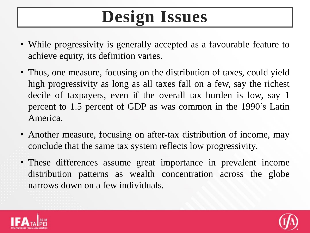# **Design Issues**

- While progressivity is generally accepted as a favourable feature to achieve equity, its definition varies.
- Thus, one measure, focusing on the distribution of taxes, could yield high progressivity as long as all taxes fall on a few, say the richest decile of taxpayers, even if the overall tax burden is low, say 1 percent to 1.5 percent of GDP as was common in the 1990's Latin America.
- Another measure, focusing on after-tax distribution of income, may conclude that the same tax system reflects low progressivity.
- These differences assume great importance in prevalent income distribution patterns as wealth concentration across the globe narrows down on a few individuals.



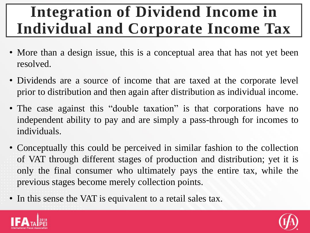### **Integration of Dividend Income in Individual and Corporate Income Tax**

- More than a design issue, this is a conceptual area that has not yet been resolved.
- Dividends are a source of income that are taxed at the corporate level prior to distribution and then again after distribution as individual income.
- The case against this "double taxation" is that corporations have no independent ability to pay and are simply a pass-through for incomes to individuals.
- Conceptually this could be perceived in similar fashion to the collection of VAT through different stages of production and distribution; yet it is only the final consumer who ultimately pays the entire tax, while the previous stages become merely collection points.
- In this sense the VAT is equivalent to a retail sales tax.



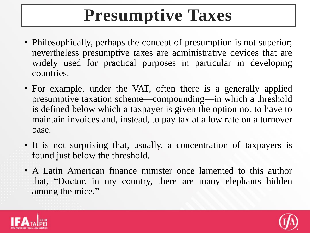# **Presumptive Taxes**

- Philosophically, perhaps the concept of presumption is not superior; nevertheless presumptive taxes are administrative devices that are widely used for practical purposes in particular in developing countries.
- For example, under the VAT, often there is a generally applied presumptive taxation scheme—compounding—in which a threshold is defined below which a taxpayer is given the option not to have to maintain invoices and, instead, to pay tax at a low rate on a turnover base.
- It is not surprising that, usually, a concentration of taxpayers is found just below the threshold.
- A Latin American finance minister once lamented to this author that, "Doctor, in my country, there are many elephants hidden among the mice."



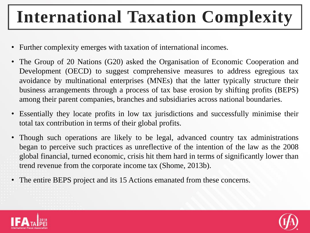# **International Taxation Complexity**

- Further complexity emerges with taxation of international incomes.
- The Group of 20 Nations (G20) asked the Organisation of Economic Cooperation and Development (OECD) to suggest comprehensive measures to address egregious tax avoidance by multinational enterprises (MNEs) that the latter typically structure their business arrangements through a process of tax base erosion by shifting profits (BEPS) among their parent companies, branches and subsidiaries across national boundaries.
- Essentially they locate profits in low tax jurisdictions and successfully minimise their total tax contribution in terms of their global profits.
- Though such operations are likely to be legal, advanced country tax administrations began to perceive such practices as unreflective of the intention of the law as the 2008 global financial, turned economic, crisis hit them hard in terms of significantly lower than trend revenue from the corporate income tax (Shome, 2013b).
- The entire BEPS project and its 15 Actions emanated from these concerns.



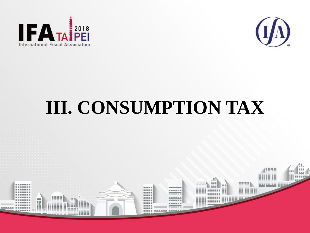



# **III. CONSUMPTION TAX**

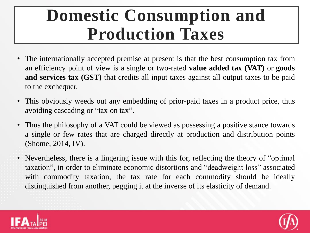# **Domestic Consumption and Production Taxes**

- The internationally accepted premise at present is that the best consumption tax from an efficiency point of view is a single or two-rated **value added tax (VAT)** or **goods and services tax (GST)** that credits all input taxes against all output taxes to be paid to the exchequer.
- This obviously weeds out any embedding of prior-paid taxes in a product price, thus avoiding cascading or "tax on tax".
- Thus the philosophy of a VAT could be viewed as possessing a positive stance towards a single or few rates that are charged directly at production and distribution points (Shome, 2014, IV).
- Nevertheless, there is a lingering issue with this for, reflecting the theory of "optimal" taxation", in order to eliminate economic distortions and "deadweight loss" associated with commodity taxation, the tax rate for each commodity should be ideally distinguished from another, pegging it at the inverse of its elasticity of demand.



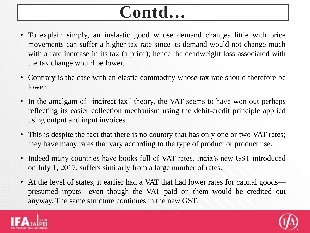- To explain simply, an inelastic good whose demand changes little with price movements can suffer a higher tax rate since its demand would not change much with a rate increase in its tax (a price); hence the deadweight loss associated with the tax change would be lower.
- Contrary is the case with an elastic commodity whose tax rate should therefore be lower.
- In the amalgam of "indirect tax" theory, the VAT seems to have won out perhaps reflecting its easier collection mechanism using the debit-credit principle applied using output and input invoices.
- This is despite the fact that there is no country that has only one or two VAT rates; they have many rates that vary according to the type of product or product use.
- Indeed many countries have books full of VAT rates. India's new GST introduced on July 1, 2017, suffers similarly from a large number of rates.
- At the level of states, it earlier had a VAT that had lower rates for capital goods presumed inputs—even though the VAT paid on them would be credited out anyway. The same structure continues in the new GST.



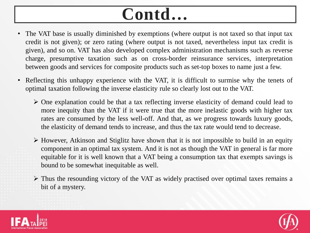- The VAT base is usually diminished by exemptions (where output is not taxed so that input tax credit is not given); or zero rating (where output is not taxed, nevertheless input tax credit is given), and so on. VAT has also developed complex administration mechanisms such as reverse charge, presumptive taxation such as on cross-border reinsurance services, interpretation between goods and services for composite products such as set-top boxes to name just a few.
- Reflecting this unhappy experience with the VAT, it is difficult to surmise why the tenets of optimal taxation following the inverse elasticity rule so clearly lost out to the VAT.
	- $\triangleright$  One explanation could be that a tax reflecting inverse elasticity of demand could lead to more inequity than the VAT if it were true that the more inelastic goods with higher tax rates are consumed by the less well-off. And that, as we progress towards luxury goods, the elasticity of demand tends to increase, and thus the tax rate would tend to decrease.
	- $\triangleright$  However, Atkinson and Stiglitz have shown that it is not impossible to build in an equity component in an optimal tax system. And it is not as though the VAT in general is far more equitable for it is well known that a VAT being a consumption tax that exempts savings is bound to be somewhat inequitable as well.
	- Thus the resounding victory of the VAT as widely practised over optimal taxes remains a bit of a mystery.



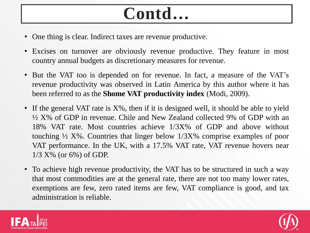- One thing is clear. Indirect taxes are revenue productive.
- Excises on turnover are obviously revenue productive. They feature in most country annual budgets as discretionary measures for revenue.
- But the VAT too is depended on for revenue. In fact, a measure of the VAT's revenue productivity was observed in Latin America by this author where it has been referred to as the **Shome VAT productivity index** (Modi, 2009).
- If the general VAT rate is X%, then if it is designed well, it should be able to yield ½ X% of GDP in revenue. Chile and New Zealand collected 9% of GDP with an 18% VAT rate. Most countries achieve 1/3X% of GDP and above without touching ½ X%. Countries that linger below 1/3X% comprise examples of poor VAT performance. In the UK, with a 17.5% VAT rate, VAT revenue hovers near 1/3 X% (or 6%) of GDP.
- To achieve high revenue productivity, the VAT has to be structured in such a way that most commodities are at the general rate, there are not too many lower rates, exemptions are few, zero rated items are few, VAT compliance is good, and tax administration is reliable.



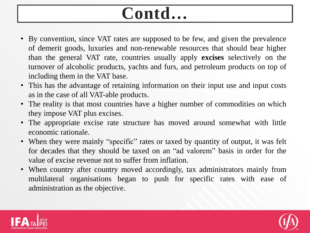- By convention, since VAT rates are supposed to be few, and given the prevalence of demerit goods, luxuries and non-renewable resources that should bear higher than the general VAT rate, countries usually apply **excises** selectively on the turnover of alcoholic products, yachts and furs, and petroleum products on top of including them in the VAT base.
- This has the advantage of retaining information on their input use and input costs as in the case of all VAT-able products.
- The reality is that most countries have a higher number of commodities on which they impose VAT plus excises.
- The appropriate excise rate structure has moved around somewhat with little economic rationale.
- When they were mainly "specific" rates or taxed by quantity of output, it was felt for decades that they should be taxed on an "ad valorem" basis in order for the value of excise revenue not to suffer from inflation.
- When country after country moved accordingly, tax administrators mainly from multilateral organisations began to push for specific rates with ease of administration as the objective.



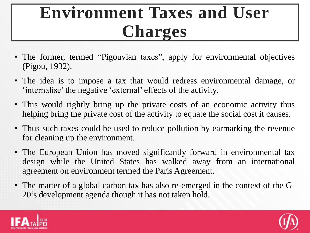## **Environment Taxes and User Charges**

- The former, termed "Pigouvian taxes", apply for environmental objectives (Pigou, 1932).
- The idea is to impose a tax that would redress environmental damage, or 'internalise'the negative 'external' effects of the activity.
- This would rightly bring up the private costs of an economic activity thus helping bring the private cost of the activity to equate the social cost it causes.
- Thus such taxes could be used to reduce pollution by earmarking the revenue for cleaning up the environment.
- The European Union has moved significantly forward in environmental tax design while the United States has walked away from an international agreement on environment termed the Paris Agreement.
- The matter of a global carbon tax has also re-emerged in the context of the G-20's development agenda though it has not taken hold.



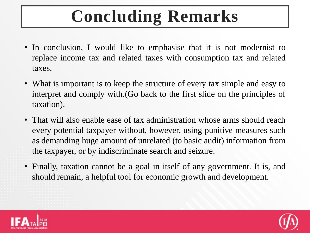# **Concluding Remarks**

- In conclusion, I would like to emphasise that it is not modernist to replace income tax and related taxes with consumption tax and related taxes.
- What is important is to keep the structure of every tax simple and easy to interpret and comply with.(Go back to the first slide on the principles of taxation).
- That will also enable ease of tax administration whose arms should reach every potential taxpayer without, however, using punitive measures such as demanding huge amount of unrelated (to basic audit) information from the taxpayer, or by indiscriminate search and seizure.
- Finally, taxation cannot be a goal in itself of any government. It is, and should remain, a helpful tool for economic growth and development.



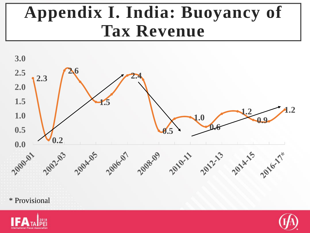## **Appendix I. India: Buoyancy of Tax Revenue**



#### \* Provisional

![](_page_20_Picture_3.jpeg)

![](_page_20_Picture_4.jpeg)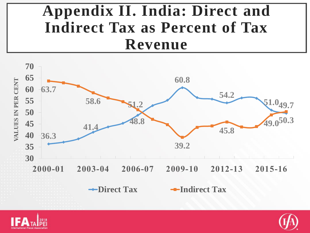#### **Appendix II. India: Direct and Indirect Tax as Percent of Tax Revenue**

![](_page_21_Figure_1.jpeg)

![](_page_21_Picture_2.jpeg)

![](_page_21_Picture_3.jpeg)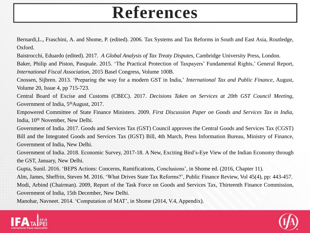#### **References**

Bernardi,L., Fraschini, A. and Shome, P. (edited). 2006. Tax Systems and Tax Reforms in South and East Asia, Routledge, Oxford.

Baistrocchi, Eduardo (edited). 2017. *A Global Analysis of Tax Treaty Disputes*, Cambridge University Press, London.

Baker, Philip and Piston, Pasquale. 2015. 'The Practical Protection of Taxpayers' Fundamental Rights,' General Report, *International Fiscal Association*, 2015 Basel Congress, Volume 100B.

Cnossen, Sijbren. 2013. 'Preparing the way for a modern GST in India,' *International Tax and Public Finance*, August, Volume 20, Issue 4, pp 715-723.

Central Board of Excise and Customs (CBEC). 2017. *Decisions Taken on Services at 20th GST Council Meeting*, Government of India, 5<sup>th</sup>August, 2017.

Empowered Committee of State Finance Ministers. 2009. *First Discussion Paper on Goods and Services Tax in India*, India, 10<sup>th</sup> November, New Delhi.

Government of India. 2017. Goods and Services Tax (GST) Council approves the Central Goods and Services Tax (CGST) Bill and the Integrated Goods and Services Tax (IGST) Bill, 4th March, Press Information Bureau, Ministry of Finance, Government of India, New Delhi.

Government of India. 2018. Economic Survey, 2017-18. A New, Exciting Bird's-Eye View of the Indian Economy through the GST, January, New Delhi.

Gupta, Sunil. 2016. 'BEPS Actions: Concerns, Ramifications, Conclusions', in Shome ed. (2016, Chapter 11).

Alm, James, Sheffrin, Steven M. 2016. 'What Drives State Tax Reforms?', Public Finance Review, Vol 45(4), pp: 443-457. Modi, Arbind (Chairman). 2009, Report of the Task Force on Goods and Services Tax, Thirteenth Finance Commission, Government of India, 15th December, New Delhi.

Manohar, Navneet. 2014. 'Computation of MAT', in Shome (2014, V.4, Appendix).

![](_page_22_Picture_12.jpeg)

![](_page_22_Picture_13.jpeg)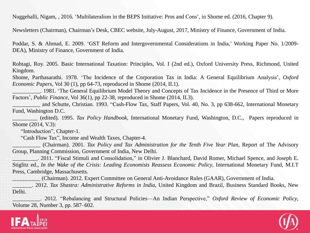Nuggehalli, Nigam, , 2016. 'Multilateralism in the BEPS Initiative: Pros and Cons', in Shome ed. (2016, Chapter 9).

Newsletters (Chairman), Chairman's Desk, CBEC website, July-August, 2017, Ministry of Finance, Government of India.

Poddar, S. & Ahmad, E. 2009. 'GST Reform and Intergovernmental Considerations in India,' Working Paper No. 1/2009- DEA), Ministry of Finance, Government of India.

Rohtagi, Roy. 2005. Basic International Taxation: Principles, Vol. I (2nd ed.), Oxford University Press, Richmond, United Kingdom.

Shome, Parthasarathi. 1978. 'The Incidence of the Corporation Tax in India: A General Equilibrium Analysis', *Oxford Economic Papers*, Vol 30 (1), pp 64-73, reproduced in Shome (2014, II.1).

\_\_\_\_\_\_\_\_\_\_. 1981. 'The General Equilibrium Model Theory and Concepts of Tax Incidence in the Presence of Third or More Factors', *Public Finance*, Vol 36(1), pp 22-38, reproduced in Shome (2014, II.3).

and Schutte, Christian. 1993. "Cash-Flow Tax, Staff Papers, Vol. 40, No. 3, pp 638-662, International Monetary Fund, Washington D.C.

\_\_\_\_\_\_\_\_\_ (edited). 1995. *Tax Policy Handbook*, International Monetary Fund, Washington, D.C., Papers reproduced in Shome (2014, V.3):

"Introduction", Chapter-1.

"Cash Flow Tax", Income and Wealth Taxes, Chapter-4.

\_\_\_\_\_\_\_\_\_\_ (Chairman). 2001. *Tax Policy and Tax Administration for the Tenth Five Year Plan*, Report of The Advisory Group, Planning Commission, Government of India, New Delhi.

\_\_\_\_\_\_\_\_\_. 2011. "Fiscal Stimuli and Consolidation," in Olivier J. Blanchard, David Romer, Michael Spence, and Joseph E. Stiglitz ed., *In the Wake of the Crisis: Leading Economists Reassess Economic Policy*, International Monetary Fund, M.I.T Press, Cambridge, Massachusetts.

\_\_\_\_\_\_\_\_\_\_ (Chairman). 2012. Expert Committee on General Anti-Avoidance Rules (GAAR), Government of India.

\_\_\_\_\_\_\_. 2012. *Tax Shastra: Administrative Reforms in India*, United Kingdom and Brazil, Business Standard Books, New Delhi.

\_\_\_\_\_\_\_\_\_\_. 2012. "Rebalancing and Structural Policies—An Indian Perspective," *Oxford Review of Economic Policy*, Volume 28, Number 3, pp. 587–602.

![](_page_23_Picture_15.jpeg)

![](_page_23_Picture_16.jpeg)